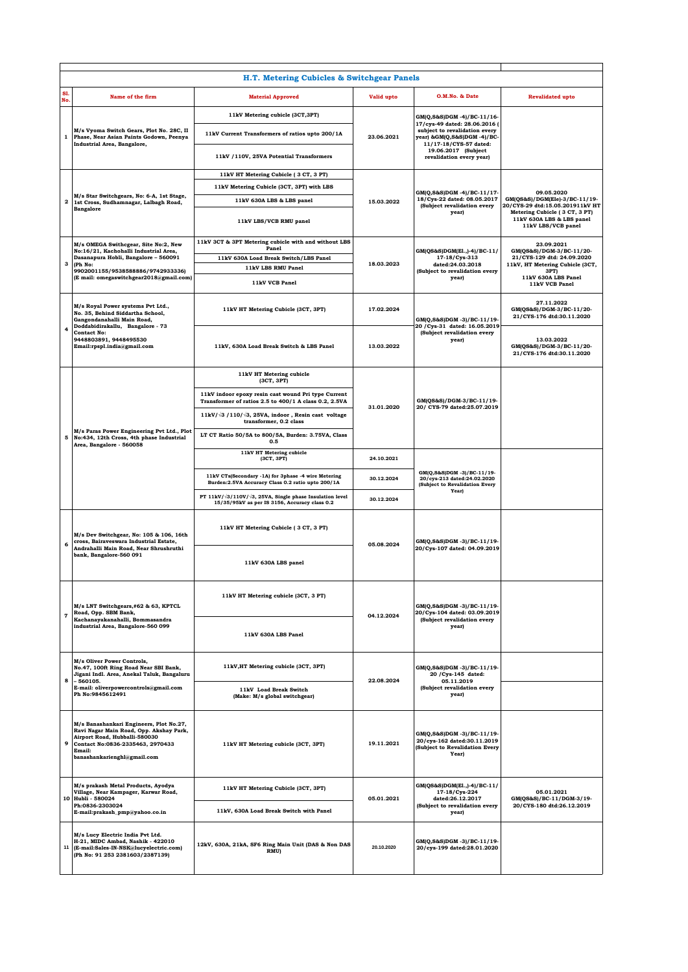|            | H.T. Metering Cubicles & Switchgear Panels                                                                                                                                                                             |                                                                                                              |            |                                                                                                                                                                                                          |                                                                                                                     |  |  |  |  |  |
|------------|------------------------------------------------------------------------------------------------------------------------------------------------------------------------------------------------------------------------|--------------------------------------------------------------------------------------------------------------|------------|----------------------------------------------------------------------------------------------------------------------------------------------------------------------------------------------------------|---------------------------------------------------------------------------------------------------------------------|--|--|--|--|--|
| S1.<br>No. | <b>Name of the firm</b>                                                                                                                                                                                                | <b>Material Approved</b>                                                                                     | Valid upto | O.M.No. & Date                                                                                                                                                                                           | <b>Revalidated upto</b>                                                                                             |  |  |  |  |  |
| 1          | M/s Vyoma Switch Gears, Plot No. 28C, II<br>Phase, Near Asian Paints Godown, Peenya<br>Industrial Area, Bangalore,                                                                                                     | 11kV Metering cubicle (3CT,3PT)                                                                              | 23.06.2021 | GM(Q,S&S)DGM -4)/BC-11/16-<br>17/cys-49 dated: 28.06.2016 (<br>subject to revalidation every<br>year) &GM(Q,S&S)DGM -4)/BC-<br>11/17-18/CYS-57 dated:<br>19.06.2017 (Subject<br>revalidation every year) |                                                                                                                     |  |  |  |  |  |
|            |                                                                                                                                                                                                                        | 11kV Current Transformers of ratios upto 200/1A                                                              |            |                                                                                                                                                                                                          |                                                                                                                     |  |  |  |  |  |
|            |                                                                                                                                                                                                                        | 11kV /110V, 25VA Potential Transformers                                                                      |            |                                                                                                                                                                                                          |                                                                                                                     |  |  |  |  |  |
| 2          | M/s Star Switchgears, No: 6-A, 1st Stage,<br>1st Cross, Sudhamnagar, Lalbagh Road,<br><b>Bangalore</b>                                                                                                                 | 11kV HT Metering Cubicle (3 CT, 3 PT)                                                                        | 15.03.2022 | GM(Q,S&S)DGM -4)/BC-11/17-<br>18/Cys-22 dated: 08.05.2017<br>(Subject revalidation every<br>year)                                                                                                        |                                                                                                                     |  |  |  |  |  |
|            |                                                                                                                                                                                                                        | 11kV Metering Cubicle (3CT, 3PT) with LBS                                                                    |            |                                                                                                                                                                                                          | 09.05.2020<br>GM(QS&S)/DGM(Ele)-3/BC-11/19-                                                                         |  |  |  |  |  |
|            |                                                                                                                                                                                                                        | 11kV 630A LBS & LBS panel<br>11kV LBS/VCB RMU panel                                                          |            |                                                                                                                                                                                                          | 20/CYS-29 dtd:15.05.201911kV HT<br>Metering Cubicle (3 CT, 3 PT)<br>11kV 630A LBS & LBS panel<br>11kV LBS/VCB panel |  |  |  |  |  |
|            | M/s OMEGA Swithcgear, Site No:2, New<br>No:16/21, Kachohalli Industrial Area,<br>Dasanapura Hobli, Bangalore - 560091<br>(Ph No:<br>9902001155/9538588886/9742933336)<br>(E mail: omegaswitchgear2018@gmail.com)       | 11kV 3CT & 3PT Metering cubicle with and without LBS                                                         | 18.03.2023 | GM(QS&S)DGM(E1.,)-4)/BC-11/<br>17-18/Cys-313<br>dated:24.03.2018<br>(Subject to revalidation every<br>year)                                                                                              | 23.09.2021                                                                                                          |  |  |  |  |  |
|            |                                                                                                                                                                                                                        | Panel<br>11kV 630A Load Break Switch/LBS Panel                                                               |            |                                                                                                                                                                                                          | GM(QS&S)/DGM-3/BC-11/20-<br>21/CYS-129 dtd: 24.09.2020                                                              |  |  |  |  |  |
| з          |                                                                                                                                                                                                                        | 11kV LBS RMU Panel                                                                                           |            |                                                                                                                                                                                                          | 11kV, HT Metering Cubicle (3CT,<br>3PT)<br>11kV 630A LBS Panel                                                      |  |  |  |  |  |
|            |                                                                                                                                                                                                                        | 11kV VCB Panel                                                                                               |            |                                                                                                                                                                                                          | 11kV VCB Panel                                                                                                      |  |  |  |  |  |
|            | M/s Royal Power systems Pvt Ltd.,<br>No. 35, Behind Siddartha School,<br>Gangondanahalli Main Road,<br>Doddabidirakallu, Bangalore - 73<br><b>Contact No:</b><br>9448803891, 9448495530<br>Email:rpspl.india@gmail.com | 11kV HT Metering Cubicle (3CT, 3PT)                                                                          | 17.02.2024 | GM(O.S&S)DGM -3)/BC-11/19-                                                                                                                                                                               | 27.11.2022<br>GM(QS&S)/DGM-3/BC-11/20-<br>21/CYS-176 dtd:30.11.2020                                                 |  |  |  |  |  |
| 4          |                                                                                                                                                                                                                        | 11kV, 630A Load Break Switch & LBS Panel                                                                     | 13.03.2022 | 20 / Cys-31 dated: 16.05.2019<br>(Subject revalidation every<br>year)                                                                                                                                    | 13.03.2022<br>GM(QS&S)/DGM-3/BC-11/20-<br>21/CYS-176 dtd:30.11.2020                                                 |  |  |  |  |  |
|            | M/s Paras Power Engineering Pvt Ltd., Plot<br>5 No:434, 12th Cross, 4th phase Industrial<br>Area, Bangalore - 560058                                                                                                   | 11kV HT Metering cubicle<br>(3CT, 3PT)                                                                       | 31.01.2020 | GM(QS&S)/DGM-3/BC-11/19-<br>20/ CYS-79 dated:25.07.2019<br>GM(Q,S&S)DGM -3)/BC-11/19-<br>20/cys-213 dated:24.02.2020<br>(Subject to Revalidation Every<br>Year)                                          |                                                                                                                     |  |  |  |  |  |
|            |                                                                                                                                                                                                                        | 11kV indoor epoxy resin cast wound Pri type Current<br>Transformer of ratios 2.5 to 400/1 A class 0.2, 2.5VA |            |                                                                                                                                                                                                          |                                                                                                                     |  |  |  |  |  |
|            |                                                                                                                                                                                                                        | $11kV/\sqrt{3}$ /110/ $\sqrt{3}$ , 25VA, indoor, Resin cast voltage<br>transformer, 0.2 class                |            |                                                                                                                                                                                                          |                                                                                                                     |  |  |  |  |  |
|            |                                                                                                                                                                                                                        | LT CT Ratio 50/5A to 800/5A, Burden: 3.75VA, Class<br>0.5                                                    |            |                                                                                                                                                                                                          |                                                                                                                     |  |  |  |  |  |
|            |                                                                                                                                                                                                                        | 11kV HT Metering cubicle<br>(3CT, 3PT)                                                                       | 24.10.2021 |                                                                                                                                                                                                          |                                                                                                                     |  |  |  |  |  |
|            |                                                                                                                                                                                                                        | 11kV CTs(Secondary -1A) for 3phase -4 wire Metering<br>Burden: 2.5VA Accuracy Class 0.2 ratio upto 200/1A    | 30.12.2024 |                                                                                                                                                                                                          |                                                                                                                     |  |  |  |  |  |
|            |                                                                                                                                                                                                                        | PT 11kV/ 3/110V/ 3, 25VA, Single phase Insulation level<br>15/35/95kV as per IS 3156, Accuracy class 0.2     | 30.12.2024 |                                                                                                                                                                                                          |                                                                                                                     |  |  |  |  |  |
|            | M/s Dev Switchgear, No: 105 & 106, 16th<br>cross, Bairaveswara Industrial Estate,<br>Andrahalli Main Road, Near Shrushruthi<br>bank, Bangalore-560 091                                                                 | 11kV HT Metering Cubicle (3 CT, 3 PT)                                                                        | 05.08.2024 | GM(Q,S&S)DGM -3)/BC-11/19-<br>20/Cys-107 dated: 04.09.2019                                                                                                                                               |                                                                                                                     |  |  |  |  |  |
| 6          |                                                                                                                                                                                                                        | 11kV 630A LBS panel                                                                                          |            |                                                                                                                                                                                                          |                                                                                                                     |  |  |  |  |  |
|            | M/s LNT Switchgears,#62 & 63, KPTCL<br>Road, Opp. SBM Bank,<br>Kachanayakanahalli, Bommasandra<br>industrial Area, Bangalore-560 099                                                                                   | 11kV HT Metering cubicle (3CT, 3 PT)                                                                         | 04.12.2024 | GM(Q,S&S)DGM -3)/BC-11/19-<br>20/Cys-104 dated: 03.09.2019<br>(Subject revalidation every<br>year)                                                                                                       |                                                                                                                     |  |  |  |  |  |
| $\pmb{7}$  |                                                                                                                                                                                                                        | 11kV 630A LBS Panel                                                                                          |            |                                                                                                                                                                                                          |                                                                                                                     |  |  |  |  |  |
|            | M/s Oliver Power Controls,<br>No.47, 100ft Ring Road Near SBI Bank,<br>Jigani Indl. Area, Anekal Taluk, Bangaluru<br>$-560105.$<br>E-mail: oliverpowercontrols@gmail.com<br>Ph No:9845612491                           | 11kV, HT Metering cubicle (3CT, 3PT)                                                                         | 22.08.2024 | GM(Q,S&S)DGM-3)/BC-11/19-<br>20 / Cys-145 dated:<br>05.11.2019<br>(Subject revalidation every<br>year)                                                                                                   |                                                                                                                     |  |  |  |  |  |
| 8          |                                                                                                                                                                                                                        | 11kV Load Break Switch<br>(Make: M/s global switchgear)                                                      |            |                                                                                                                                                                                                          |                                                                                                                     |  |  |  |  |  |
| 9          | M/s Banashankari Engineers, Plot No.27,<br>Ravi Nagar Main Road, Opp. Akshay Park,<br>Airport Road, Hubballi-580030<br>Contact No:0836-2335463, 2970433<br>Email:<br>banashankarienghl@gmail.com                       | 11kV HT Metering cubicle (3CT, 3PT)                                                                          | 19.11.2021 | GM(Q,S&S)DGM -3)/BC-11/19-<br>20/cys-162 dated:30.11.2019<br>(Subject to Revalidation Every<br>Year)                                                                                                     |                                                                                                                     |  |  |  |  |  |
|            | M/s prakash Metal Products, Ayodya<br>Village, Near Kampager, Karwar Road,<br>10 Hubli - 580024<br>Ph:0836-2303024<br>E-mail:prakash_pmp@yahoo.co.in                                                                   | 11kV HT Metering Cubicle (3CT, 3PT)                                                                          | 05.01.2021 | GM(QS&S)DGM(E1.,)-4)/BC-11/<br>17-18/Cys-224<br>dated:26.12.2017<br>(Subject to revalidation every<br>year)                                                                                              | 05.01.2021<br>GM(QS&S)/BC-11/DGM-3/19-<br>20/CYS-180 dtd:26.12.2019                                                 |  |  |  |  |  |
|            |                                                                                                                                                                                                                        | 11kV, 630A Load Break Switch with Panel                                                                      |            |                                                                                                                                                                                                          |                                                                                                                     |  |  |  |  |  |
|            | M/s Lucy Electric India Pvt Ltd.<br>H-21, MIDC Ambad, Nashik - 422010<br>11 (E-mail:Sales-IN-NSK@lucyelectric.com)<br>(Ph No: 91 253 2381603/2387139)                                                                  | 12kV, 630A, 21kA, SF6 Ring Main Unit (DAS & Non DAS<br>RMU)                                                  | 20.10.2020 | GM(Q,S&S)DGM-3)/BC-11/19-<br>20/cys-199 dated:28.01.2020                                                                                                                                                 |                                                                                                                     |  |  |  |  |  |